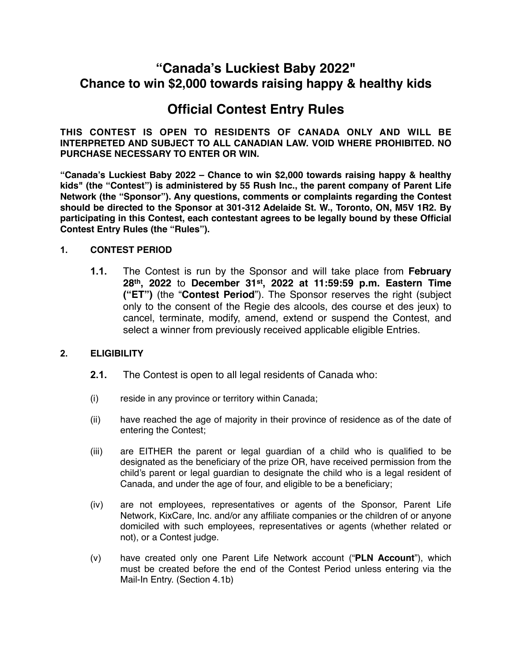# **"Canada's Luckiest Baby 2022" Chance to win \$2,000 towards raising happy & healthy kids**

# **Official Contest Entry Rules**

**THIS CONTEST IS OPEN TO RESIDENTS OF CANADA ONLY AND WILL BE INTERPRETED AND SUBJECT TO ALL CANADIAN LAW. VOID WHERE PROHIBITED. NO PURCHASE NECESSARY TO ENTER OR WIN.**

**"Canada's Luckiest Baby 2022 – Chance to win \$2,000 towards raising happy & healthy kids" (the "Contest") is administered by 55 Rush Inc., the parent company of Parent Life Network (the "Sponsor"). Any questions, comments or complaints regarding the Contest should be directed to the Sponsor at 301-312 Adelaide St. W., Toronto, ON, M5V 1R2. By participating in this Contest, each contestant agrees to be legally bound by these Official Contest Entry Rules (the "Rules").**

### **1. CONTEST PERIOD**

**1.1.** The Contest is run by the Sponsor and will take place from **February 28th, 2022** to **December 31st, 2022 at 11:59:59 p.m. Eastern Time ("ET")** (the "**Contest Period**"). The Sponsor reserves the right (subject only to the consent of the Regie des alcools, des course et des jeux) to cancel, terminate, modify, amend, extend or suspend the Contest, and select a winner from previously received applicable eligible Entries.

## **2. ELIGIBILITY**

- **2.1.** The Contest is open to all legal residents of Canada who:
- (i) reside in any province or territory within Canada;
- (ii) have reached the age of majority in their province of residence as of the date of entering the Contest;
- (iii) are EITHER the parent or legal guardian of a child who is qualified to be designated as the beneficiary of the prize OR, have received permission from the child's parent or legal guardian to designate the child who is a legal resident of Canada, and under the age of four, and eligible to be a beneficiary;
- (iv) are not employees, representatives or agents of the Sponsor, Parent Life Network, KixCare, Inc. and/or any affiliate companies or the children of or anyone domiciled with such employees, representatives or agents (whether related or not), or a Contest judge.
- (v) have created only one Parent Life Network account ("**PLN Account**"), which must be created before the end of the Contest Period unless entering via the Mail-In Entry. (Section 4.1b)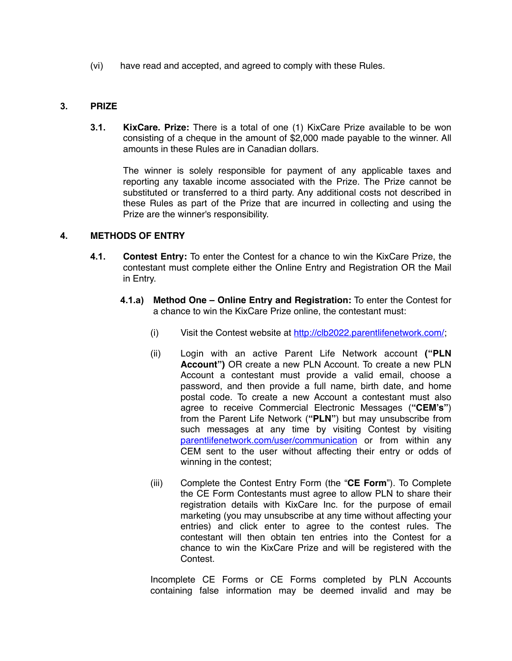(vi) have read and accepted, and agreed to comply with these Rules.

#### **3. PRIZE**

**3.1. KixCare. Prize:** There is a total of one (1) KixCare Prize available to be won consisting of a cheque in the amount of \$2,000 made payable to the winner. All amounts in these Rules are in Canadian dollars.

The winner is solely responsible for payment of any applicable taxes and reporting any taxable income associated with the Prize. The Prize cannot be substituted or transferred to a third party. Any additional costs not described in these Rules as part of the Prize that are incurred in collecting and using the Prize are the winner's responsibility.

#### **4. METHODS OF ENTRY**

- **4.1. Contest Entry:** To enter the Contest for a chance to win the KixCare Prize, the contestant must complete either the Online Entry and Registration OR the Mail in Entry.
	- **4.1.a) Method One Online Entry and Registration:** To enter the Contest for a chance to win the KixCare Prize online, the contestant must:
		- (i) Visit the Contest website at <http://clb2022.parentlifenetwork.com/>;
		- (ii) Login with an active Parent Life Network account **("PLN Account")** OR create a new PLN Account. To create a new PLN Account a contestant must provide a valid email, choose a password, and then provide a full name, birth date, and home postal code. To create a new Account a contestant must also agree to receive Commercial Electronic Messages (**"CEM's"**) from the Parent Life Network (**"PLN"**) but may unsubscribe from such messages at any time by visiting Contest by visiting [parentlifenetwork.com/user/communication](http://parentlifenetwork.com/user/communication) or from within any CEM sent to the user without affecting their entry or odds of winning in the contest;
		- (iii) Complete the Contest Entry Form (the "**CE Form**"). To Complete the CE Form Contestants must agree to allow PLN to share their registration details with KixCare Inc. for the purpose of email marketing (you may unsubscribe at any time without affecting your entries) and click enter to agree to the contest rules. The contestant will then obtain ten entries into the Contest for a chance to win the KixCare Prize and will be registered with the Contest.

Incomplete CE Forms or CE Forms completed by PLN Accounts containing false information may be deemed invalid and may be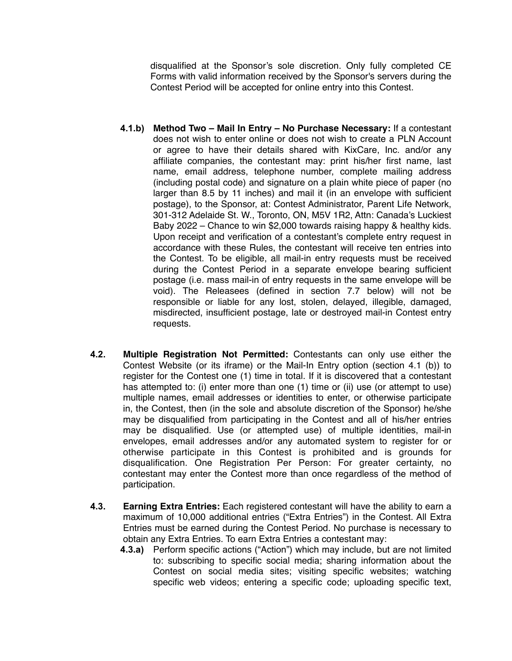disqualified at the Sponsor's sole discretion. Only fully completed CE Forms with valid information received by the Sponsor's servers during the Contest Period will be accepted for online entry into this Contest.

- **4.1.b) Method Two Mail In Entry No Purchase Necessary:** If a contestant does not wish to enter online or does not wish to create a PLN Account or agree to have their details shared with KixCare, Inc. and/or any affiliate companies, the contestant may: print his/her first name, last name, email address, telephone number, complete mailing address (including postal code) and signature on a plain white piece of paper (no larger than 8.5 by 11 inches) and mail it (in an envelope with sufficient postage), to the Sponsor, at: Contest Administrator, Parent Life Network, 301-312 Adelaide St. W., Toronto, ON, M5V 1R2, Attn: Canada's Luckiest Baby 2022 – Chance to win \$2,000 towards raising happy & healthy kids. Upon receipt and verification of a contestant's complete entry request in accordance with these Rules, the contestant will receive ten entries into the Contest. To be eligible, all mail-in entry requests must be received during the Contest Period in a separate envelope bearing sufficient postage (i.e. mass mail-in of entry requests in the same envelope will be void). The Releasees (defined in section 7.7 below) will not be responsible or liable for any lost, stolen, delayed, illegible, damaged, misdirected, insufficient postage, late or destroyed mail-in Contest entry requests.
- **4.2. Multiple Registration Not Permitted:** Contestants can only use either the Contest Website (or its iframe) or the Mail-In Entry option (section 4.1 (b)) to register for the Contest one (1) time in total. If it is discovered that a contestant has attempted to: (i) enter more than one (1) time or (ii) use (or attempt to use) multiple names, email addresses or identities to enter, or otherwise participate in, the Contest, then (in the sole and absolute discretion of the Sponsor) he/she may be disqualified from participating in the Contest and all of his/her entries may be disqualified. Use (or attempted use) of multiple identities, mail-in envelopes, email addresses and/or any automated system to register for or otherwise participate in this Contest is prohibited and is grounds for disqualification. One Registration Per Person: For greater certainty, no contestant may enter the Contest more than once regardless of the method of participation.
- **4.3. Earning Extra Entries:** Each registered contestant will have the ability to earn a maximum of 10,000 additional entries ("Extra Entries") in the Contest. All Extra Entries must be earned during the Contest Period. No purchase is necessary to obtain any Extra Entries. To earn Extra Entries a contestant may:
	- **4.3.a)** Perform specific actions ("Action") which may include, but are not limited to: subscribing to specific social media; sharing information about the Contest on social media sites; visiting specific websites; watching specific web videos; entering a specific code; uploading specific text,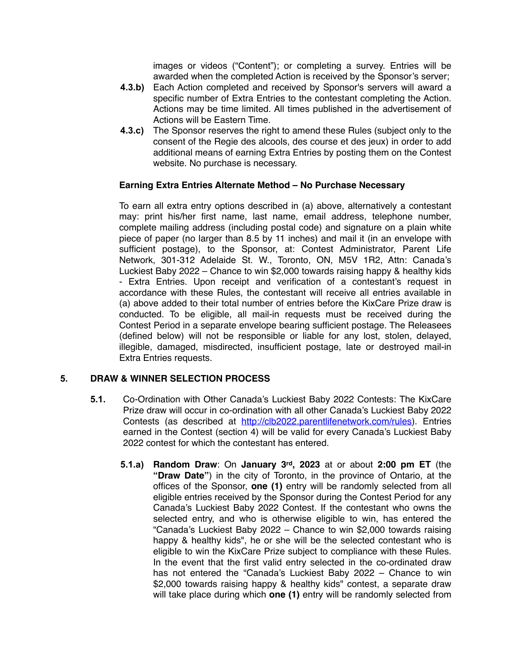images or videos ("Content"); or completing a survey. Entries will be awarded when the completed Action is received by the Sponsor's server;

- **4.3.b)** Each Action completed and received by Sponsor's servers will award a specific number of Extra Entries to the contestant completing the Action. Actions may be time limited. All times published in the advertisement of Actions will be Eastern Time.
- **4.3.c)** The Sponsor reserves the right to amend these Rules (subject only to the consent of the Regie des alcools, des course et des jeux) in order to add additional means of earning Extra Entries by posting them on the Contest website. No purchase is necessary.

### **Earning Extra Entries Alternate Method – No Purchase Necessary**

To earn all extra entry options described in (a) above, alternatively a contestant may: print his/her first name, last name, email address, telephone number, complete mailing address (including postal code) and signature on a plain white piece of paper (no larger than 8.5 by 11 inches) and mail it (in an envelope with sufficient postage), to the Sponsor, at: Contest Administrator, Parent Life Network, 301-312 Adelaide St. W., Toronto, ON, M5V 1R2, Attn: Canada's Luckiest Baby 2022 – Chance to win \$2,000 towards raising happy & healthy kids - Extra Entries. Upon receipt and verification of a contestant's request in accordance with these Rules, the contestant will receive all entries available in (a) above added to their total number of entries before the KixCare Prize draw is conducted. To be eligible, all mail-in requests must be received during the Contest Period in a separate envelope bearing sufficient postage. The Releasees (defined below) will not be responsible or liable for any lost, stolen, delayed, illegible, damaged, misdirected, insufficient postage, late or destroyed mail-in Extra Entries requests.

### **5. DRAW & WINNER SELECTION PROCESS**

- **5.1.** Co-Ordination with Other Canada's Luckiest Baby 2022 Contests: The KixCare Prize draw will occur in co-ordination with all other Canada's Luckiest Baby 2022 Contests (as described at [http://clb2022.parentlifenetwork.com/rules\)](http://clb2022.parentlifenetwork.com/rules). Entries earned in the Contest (section 4) will be valid for every Canada's Luckiest Baby 2022 contest for which the contestant has entered.
	- **5.1.a) Random Draw**: On **January 3rd, 2023** at or about **2:00 pm ET** (the **"Draw Date"**) in the city of Toronto, in the province of Ontario, at the offices of the Sponsor, **one (1)** entry will be randomly selected from all eligible entries received by the Sponsor during the Contest Period for any Canada's Luckiest Baby 2022 Contest. If the contestant who owns the selected entry, and who is otherwise eligible to win, has entered the "Canada's Luckiest Baby 2022 – Chance to win \$2,000 towards raising happy & healthy kids", he or she will be the selected contestant who is eligible to win the KixCare Prize subject to compliance with these Rules. In the event that the first valid entry selected in the co-ordinated draw has not entered the "Canada's Luckiest Baby 2022 – Chance to win \$2,000 towards raising happy & healthy kids" contest, a separate draw will take place during which **one (1)** entry will be randomly selected from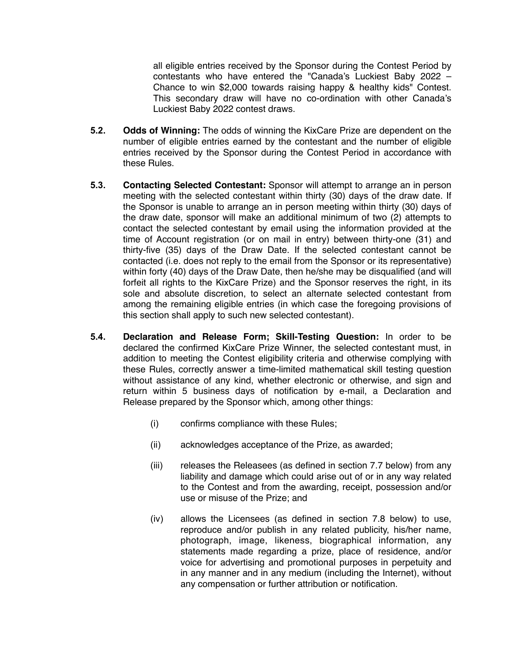all eligible entries received by the Sponsor during the Contest Period by contestants who have entered the "Canada's Luckiest Baby 2022 – Chance to win \$2,000 towards raising happy & healthy kids" Contest. This secondary draw will have no co-ordination with other Canada's Luckiest Baby 2022 contest draws.

- **5.2. Odds of Winning:** The odds of winning the KixCare Prize are dependent on the number of eligible entries earned by the contestant and the number of eligible entries received by the Sponsor during the Contest Period in accordance with these Rules.
- **5.3. Contacting Selected Contestant:** Sponsor will attempt to arrange an in person meeting with the selected contestant within thirty (30) days of the draw date. If the Sponsor is unable to arrange an in person meeting within thirty (30) days of the draw date, sponsor will make an additional minimum of two (2) attempts to contact the selected contestant by email using the information provided at the time of Account registration (or on mail in entry) between thirty-one (31) and thirty-five (35) days of the Draw Date. If the selected contestant cannot be contacted (i.e. does not reply to the email from the Sponsor or its representative) within forty (40) days of the Draw Date, then he/she may be disqualified (and will forfeit all rights to the KixCare Prize) and the Sponsor reserves the right, in its sole and absolute discretion, to select an alternate selected contestant from among the remaining eligible entries (in which case the foregoing provisions of this section shall apply to such new selected contestant).
- **5.4. Declaration and Release Form; Skill-Testing Question:** In order to be declared the confirmed KixCare Prize Winner, the selected contestant must, in addition to meeting the Contest eligibility criteria and otherwise complying with these Rules, correctly answer a time-limited mathematical skill testing question without assistance of any kind, whether electronic or otherwise, and sign and return within 5 business days of notification by e-mail, a Declaration and Release prepared by the Sponsor which, among other things:
	- (i) confirms compliance with these Rules;
	- (ii) acknowledges acceptance of the Prize, as awarded;
	- (iii) releases the Releasees (as defined in section 7.7 below) from any liability and damage which could arise out of or in any way related to the Contest and from the awarding, receipt, possession and/or use or misuse of the Prize; and
	- (iv) allows the Licensees (as defined in section 7.8 below) to use, reproduce and/or publish in any related publicity, his/her name, photograph, image, likeness, biographical information, any statements made regarding a prize, place of residence, and/or voice for advertising and promotional purposes in perpetuity and in any manner and in any medium (including the Internet), without any compensation or further attribution or notification.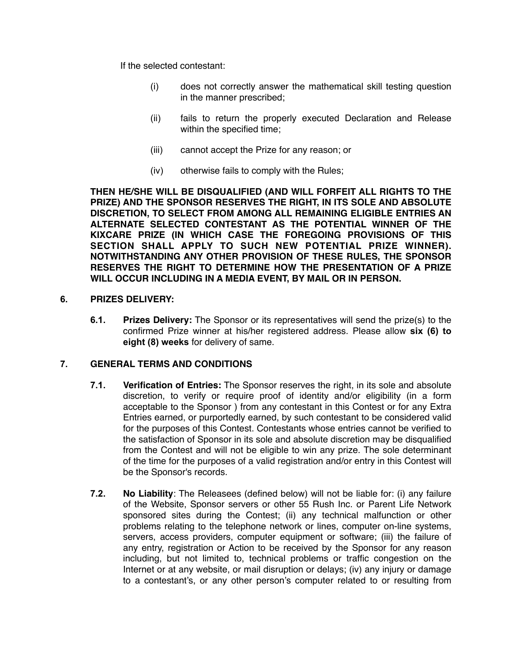If the selected contestant:

- (i) does not correctly answer the mathematical skill testing question in the manner prescribed;
- (ii) fails to return the properly executed Declaration and Release within the specified time;
- (iii) cannot accept the Prize for any reason; or
- (iv) otherwise fails to comply with the Rules;

**THEN HE/SHE WILL BE DISQUALIFIED (AND WILL FORFEIT ALL RIGHTS TO THE PRIZE) AND THE SPONSOR RESERVES THE RIGHT, IN ITS SOLE AND ABSOLUTE DISCRETION, TO SELECT FROM AMONG ALL REMAINING ELIGIBLE ENTRIES AN ALTERNATE SELECTED CONTESTANT AS THE POTENTIAL WINNER OF THE KIXCARE PRIZE (IN WHICH CASE THE FOREGOING PROVISIONS OF THIS SECTION SHALL APPLY TO SUCH NEW POTENTIAL PRIZE WINNER). NOTWITHSTANDING ANY OTHER PROVISION OF THESE RULES, THE SPONSOR RESERVES THE RIGHT TO DETERMINE HOW THE PRESENTATION OF A PRIZE WILL OCCUR INCLUDING IN A MEDIA EVENT, BY MAIL OR IN PERSON.**

#### **6. PRIZES DELIVERY:**

**6.1. Prizes Delivery:** The Sponsor or its representatives will send the prize(s) to the confirmed Prize winner at his/her registered address. Please allow **six (6) to eight (8) weeks** for delivery of same.

### **7. GENERAL TERMS AND CONDITIONS**

- **7.1. Verification of Entries:** The Sponsor reserves the right, in its sole and absolute discretion, to verify or require proof of identity and/or eligibility (in a form acceptable to the Sponsor ) from any contestant in this Contest or for any Extra Entries earned, or purportedly earned, by such contestant to be considered valid for the purposes of this Contest. Contestants whose entries cannot be verified to the satisfaction of Sponsor in its sole and absolute discretion may be disqualified from the Contest and will not be eligible to win any prize. The sole determinant of the time for the purposes of a valid registration and/or entry in this Contest will be the Sponsor's records.
- **7.2. No Liability**: The Releasees (defined below) will not be liable for: (i) any failure of the Website, Sponsor servers or other 55 Rush Inc. or Parent Life Network sponsored sites during the Contest; (ii) any technical malfunction or other problems relating to the telephone network or lines, computer on-line systems, servers, access providers, computer equipment or software; (iii) the failure of any entry, registration or Action to be received by the Sponsor for any reason including, but not limited to, technical problems or traffic congestion on the Internet or at any website, or mail disruption or delays; (iv) any injury or damage to a contestant's, or any other person's computer related to or resulting from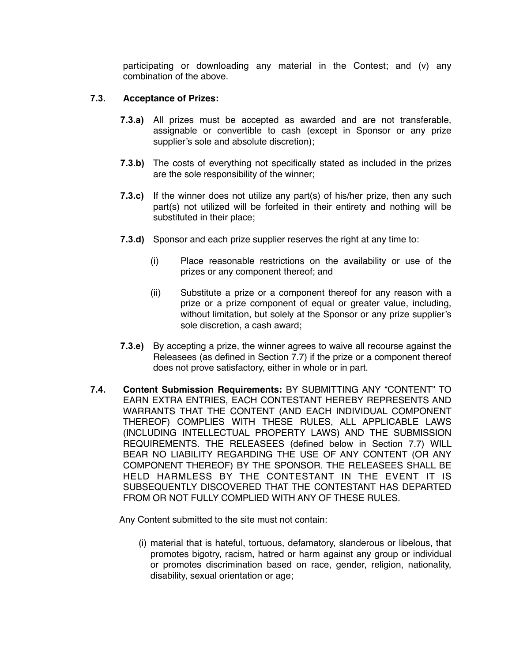participating or downloading any material in the Contest; and (v) any combination of the above.

#### **7.3. Acceptance of Prizes:**

- **7.3.a)** All prizes must be accepted as awarded and are not transferable, assignable or convertible to cash (except in Sponsor or any prize supplier's sole and absolute discretion);
- **7.3.b)** The costs of everything not specifically stated as included in the prizes are the sole responsibility of the winner;
- **7.3.c)** If the winner does not utilize any part(s) of his/her prize, then any such part(s) not utilized will be forfeited in their entirety and nothing will be substituted in their place;
- **7.3.d)** Sponsor and each prize supplier reserves the right at any time to:
	- (i) Place reasonable restrictions on the availability or use of the prizes or any component thereof; and
	- (ii) Substitute a prize or a component thereof for any reason with a prize or a prize component of equal or greater value, including, without limitation, but solely at the Sponsor or any prize supplier's sole discretion, a cash award;
- **7.3.e)** By accepting a prize, the winner agrees to waive all recourse against the Releasees (as defined in Section 7.7) if the prize or a component thereof does not prove satisfactory, either in whole or in part.
- **7.4. Content Submission Requirements:** BY SUBMITTING ANY "CONTENT" TO EARN EXTRA ENTRIES, EACH CONTESTANT HEREBY REPRESENTS AND WARRANTS THAT THE CONTENT (AND EACH INDIVIDUAL COMPONENT THEREOF) COMPLIES WITH THESE RULES, ALL APPLICABLE LAWS (INCLUDING INTELLECTUAL PROPERTY LAWS) AND THE SUBMISSION REQUIREMENTS. THE RELEASEES (defined below in Section 7.7) WILL BEAR NO LIABILITY REGARDING THE USE OF ANY CONTENT (OR ANY COMPONENT THEREOF) BY THE SPONSOR. THE RELEASEES SHALL BE HELD HARMLESS BY THE CONTESTANT IN THE EVENT IT IS SUBSEQUENTLY DISCOVERED THAT THE CONTESTANT HAS DEPARTED FROM OR NOT FULLY COMPLIED WITH ANY OF THESE RULES.

Any Content submitted to the site must not contain:

(i) material that is hateful, tortuous, defamatory, slanderous or libelous, that promotes bigotry, racism, hatred or harm against any group or individual or promotes discrimination based on race, gender, religion, nationality, disability, sexual orientation or age;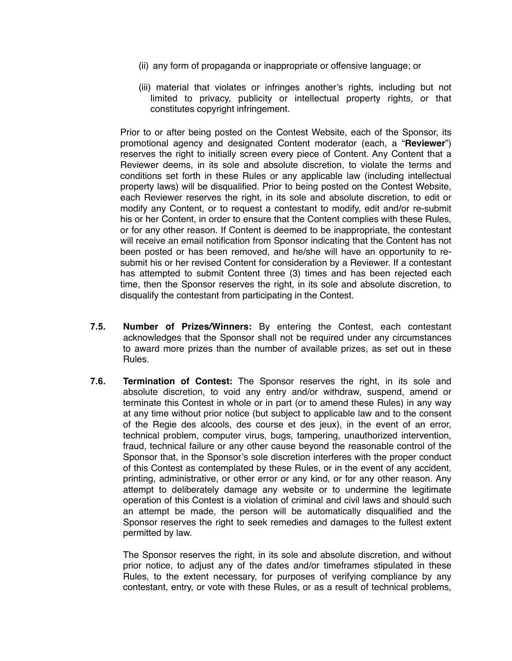- (ii) any form of propaganda or inappropriate or offensive language; or
- (iii) material that violates or infringes another's rights, including but not limited to privacy, publicity or intellectual property rights, or that constitutes copyright infringement.

Prior to or after being posted on the Contest Website, each of the Sponsor, its promotional agency and designated Content moderator (each, a "**Reviewer**") reserves the right to initially screen every piece of Content. Any Content that a Reviewer deems, in its sole and absolute discretion, to violate the terms and conditions set forth in these Rules or any applicable law (including intellectual property laws) will be disqualified. Prior to being posted on the Contest Website, each Reviewer reserves the right, in its sole and absolute discretion, to edit or modify any Content, or to request a contestant to modify, edit and/or re-submit his or her Content, in order to ensure that the Content complies with these Rules, or for any other reason. If Content is deemed to be inappropriate, the contestant will receive an email notification from Sponsor indicating that the Content has not been posted or has been removed, and he/she will have an opportunity to resubmit his or her revised Content for consideration by a Reviewer. If a contestant has attempted to submit Content three (3) times and has been rejected each time, then the Sponsor reserves the right, in its sole and absolute discretion, to disqualify the contestant from participating in the Contest.

- **7.5. Number of Prizes/Winners:** By entering the Contest, each contestant acknowledges that the Sponsor shall not be required under any circumstances to award more prizes than the number of available prizes, as set out in these Rules.
- **7.6. Termination of Contest:** The Sponsor reserves the right, in its sole and absolute discretion, to void any entry and/or withdraw, suspend, amend or terminate this Contest in whole or in part (or to amend these Rules) in any way at any time without prior notice (but subject to applicable law and to the consent of the Regie des alcools, des course et des jeux), in the event of an error, technical problem, computer virus, bugs, tampering, unauthorized intervention, fraud, technical failure or any other cause beyond the reasonable control of the Sponsor that, in the Sponsor's sole discretion interferes with the proper conduct of this Contest as contemplated by these Rules, or in the event of any accident, printing, administrative, or other error or any kind, or for any other reason. Any attempt to deliberately damage any website or to undermine the legitimate operation of this Contest is a violation of criminal and civil laws and should such an attempt be made, the person will be automatically disqualified and the Sponsor reserves the right to seek remedies and damages to the fullest extent permitted by law.

The Sponsor reserves the right, in its sole and absolute discretion, and without prior notice, to adjust any of the dates and/or timeframes stipulated in these Rules, to the extent necessary, for purposes of verifying compliance by any contestant, entry, or vote with these Rules, or as a result of technical problems,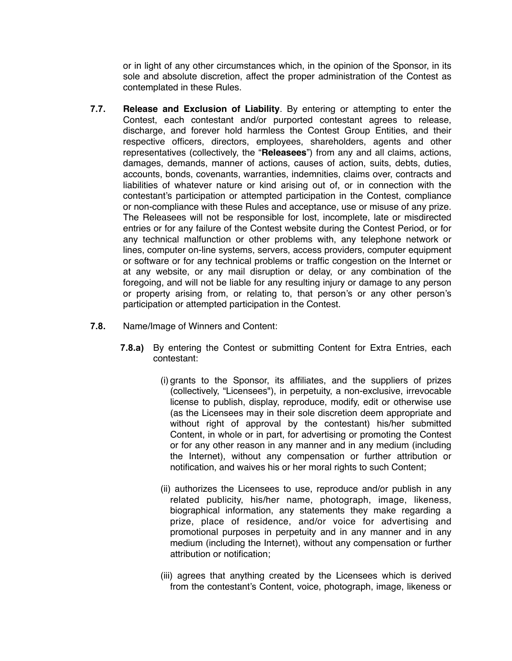or in light of any other circumstances which, in the opinion of the Sponsor, in its sole and absolute discretion, affect the proper administration of the Contest as contemplated in these Rules.

- **7.7. Release and Exclusion of Liability**. By entering or attempting to enter the Contest, each contestant and/or purported contestant agrees to release, discharge, and forever hold harmless the Contest Group Entities, and their respective officers, directors, employees, shareholders, agents and other representatives (collectively, the "**Releasees**") from any and all claims, actions, damages, demands, manner of actions, causes of action, suits, debts, duties, accounts, bonds, covenants, warranties, indemnities, claims over, contracts and liabilities of whatever nature or kind arising out of, or in connection with the contestant's participation or attempted participation in the Contest, compliance or non-compliance with these Rules and acceptance, use or misuse of any prize. The Releasees will not be responsible for lost, incomplete, late or misdirected entries or for any failure of the Contest website during the Contest Period, or for any technical malfunction or other problems with, any telephone network or lines, computer on-line systems, servers, access providers, computer equipment or software or for any technical problems or traffic congestion on the Internet or at any website, or any mail disruption or delay, or any combination of the foregoing, and will not be liable for any resulting injury or damage to any person or property arising from, or relating to, that person's or any other person's participation or attempted participation in the Contest.
- **7.8.** Name/Image of Winners and Content:
	- **7.8.a)** By entering the Contest or submitting Content for Extra Entries, each contestant:
		- (i) grants to the Sponsor, its affiliates, and the suppliers of prizes (collectively, "Licensees"), in perpetuity, a non-exclusive, irrevocable license to publish, display, reproduce, modify, edit or otherwise use (as the Licensees may in their sole discretion deem appropriate and without right of approval by the contestant) his/her submitted Content, in whole or in part, for advertising or promoting the Contest or for any other reason in any manner and in any medium (including the Internet), without any compensation or further attribution or notification, and waives his or her moral rights to such Content;
		- (ii) authorizes the Licensees to use, reproduce and/or publish in any related publicity, his/her name, photograph, image, likeness, biographical information, any statements they make regarding a prize, place of residence, and/or voice for advertising and promotional purposes in perpetuity and in any manner and in any medium (including the Internet), without any compensation or further attribution or notification;
		- (iii) agrees that anything created by the Licensees which is derived from the contestant's Content, voice, photograph, image, likeness or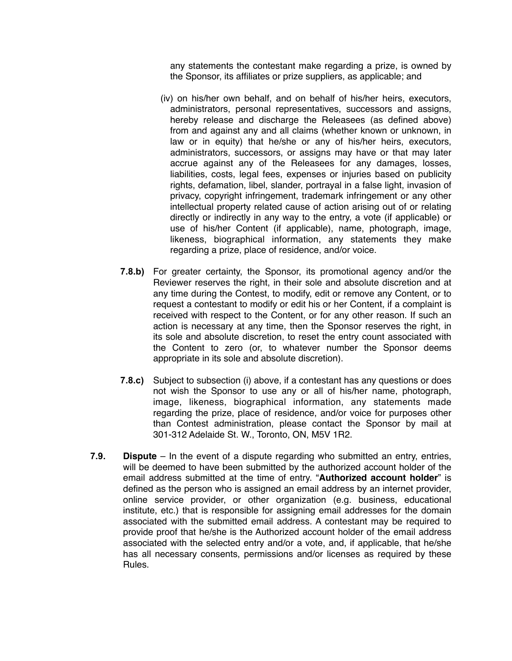any statements the contestant make regarding a prize, is owned by the Sponsor, its affiliates or prize suppliers, as applicable; and

- (iv) on his/her own behalf, and on behalf of his/her heirs, executors, administrators, personal representatives, successors and assigns, hereby release and discharge the Releasees (as defined above) from and against any and all claims (whether known or unknown, in law or in equity) that he/she or any of his/her heirs, executors, administrators, successors, or assigns may have or that may later accrue against any of the Releasees for any damages, losses, liabilities, costs, legal fees, expenses or injuries based on publicity rights, defamation, libel, slander, portrayal in a false light, invasion of privacy, copyright infringement, trademark infringement or any other intellectual property related cause of action arising out of or relating directly or indirectly in any way to the entry, a vote (if applicable) or use of his/her Content (if applicable), name, photograph, image, likeness, biographical information, any statements they make regarding a prize, place of residence, and/or voice.
- **7.8.b)** For greater certainty, the Sponsor, its promotional agency and/or the Reviewer reserves the right, in their sole and absolute discretion and at any time during the Contest, to modify, edit or remove any Content, or to request a contestant to modify or edit his or her Content, if a complaint is received with respect to the Content, or for any other reason. If such an action is necessary at any time, then the Sponsor reserves the right, in its sole and absolute discretion, to reset the entry count associated with the Content to zero (or, to whatever number the Sponsor deems appropriate in its sole and absolute discretion).
- **7.8.c)** Subject to subsection (i) above, if a contestant has any questions or does not wish the Sponsor to use any or all of his/her name, photograph, image, likeness, biographical information, any statements made regarding the prize, place of residence, and/or voice for purposes other than Contest administration, please contact the Sponsor by mail at 301-312 Adelaide St. W., Toronto, ON, M5V 1R2.
- **7.9. Dispute**  In the event of a dispute regarding who submitted an entry, entries, will be deemed to have been submitted by the authorized account holder of the email address submitted at the time of entry. "**Authorized account holder**" is defined as the person who is assigned an email address by an internet provider, online service provider, or other organization (e.g. business, educational institute, etc.) that is responsible for assigning email addresses for the domain associated with the submitted email address. A contestant may be required to provide proof that he/she is the Authorized account holder of the email address associated with the selected entry and/or a vote, and, if applicable, that he/she has all necessary consents, permissions and/or licenses as required by these Rules.